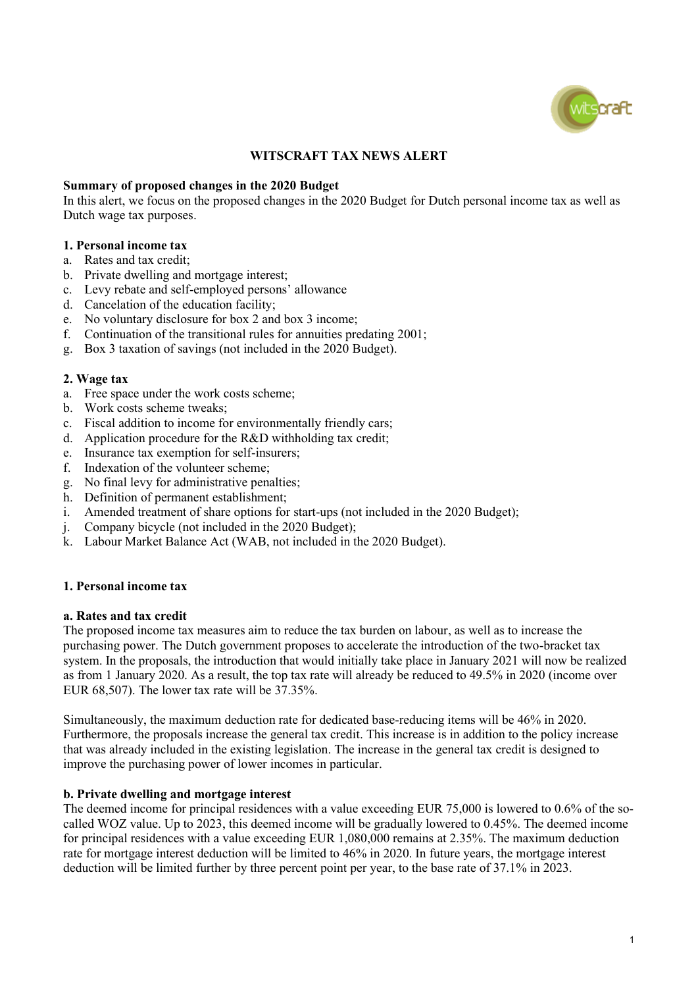

# **WITSCRAFT TAX NEWS ALERT**

#### **Summary of proposed changes in the 2020 Budget**

In this alert, we focus on the proposed changes in the 2020 Budget for Dutch personal income tax as well as Dutch wage tax purposes.

# **1. Personal income tax**

- a. Rates and tax credit;
- b. Private dwelling and mortgage interest;
- c. Levy rebate and self-employed persons' allowance
- d. Cancelation of the education facility;
- e. No voluntary disclosure for box 2 and box 3 income;
- f. Continuation of the transitional rules for annuities predating 2001;
- g. Box 3 taxation of savings (not included in the 2020 Budget).

#### **2. Wage tax**

- a. Free space under the work costs scheme;
- b. Work costs scheme tweaks;
- c. Fiscal addition to income for environmentally friendly cars;
- d. Application procedure for the R&D withholding tax credit;
- e. Insurance tax exemption for self-insurers;
- f. Indexation of the volunteer scheme;
- g. No final levy for administrative penalties;
- h. Definition of permanent establishment;
- i. Amended treatment of share options for start-ups (not included in the 2020 Budget);
- j. Company bicycle (not included in the 2020 Budget);
- k. Labour Market Balance Act (WAB, not included in the 2020 Budget).

#### **1. Personal income tax**

#### **a. Rates and tax credit**

The proposed income tax measures aim to reduce the tax burden on labour, as well as to increase the purchasing power. The Dutch government proposes to accelerate the introduction of the two-bracket tax system. In the proposals, the introduction that would initially take place in January 2021 will now be realized as from 1 January 2020. As a result, the top tax rate will already be reduced to 49.5% in 2020 (income over EUR 68,507). The lower tax rate will be 37.35%.

Simultaneously, the maximum deduction rate for dedicated base-reducing items will be 46% in 2020. Furthermore, the proposals increase the general tax credit. This increase is in addition to the policy increase that was already included in the existing legislation. The increase in the general tax credit is designed to improve the purchasing power of lower incomes in particular.

#### **b. Private dwelling and mortgage interest**

The deemed income for principal residences with a value exceeding EUR 75,000 is lowered to 0.6% of the socalled WOZ value. Up to 2023, this deemed income will be gradually lowered to 0.45%. The deemed income for principal residences with a value exceeding EUR 1,080,000 remains at 2.35%. The maximum deduction rate for mortgage interest deduction will be limited to 46% in 2020. In future years, the mortgage interest deduction will be limited further by three percent point per year, to the base rate of 37.1% in 2023.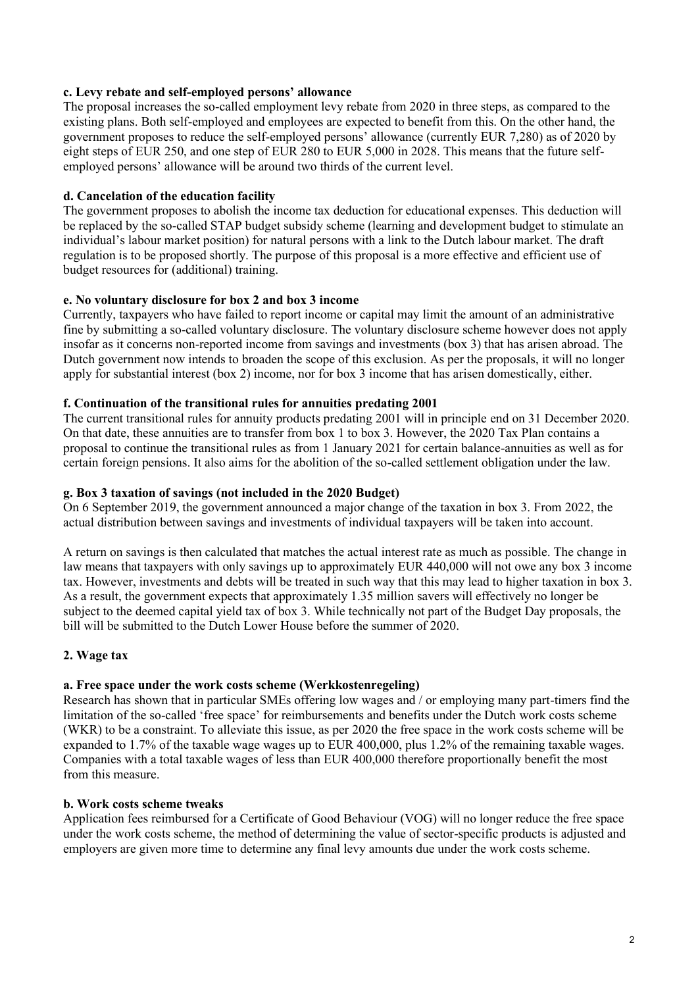# **c. Levy rebate and self-employed persons' allowance**

The proposal increases the so-called employment levy rebate from 2020 in three steps, as compared to the existing plans. Both self-employed and employees are expected to benefit from this. On the other hand, the government proposes to reduce the self-employed persons' allowance (currently EUR 7,280) as of 2020 by eight steps of EUR 250, and one step of EUR 280 to EUR 5,000 in 2028. This means that the future selfemployed persons' allowance will be around two thirds of the current level.

# **d. Cancelation of the education facility**

The government proposes to abolish the income tax deduction for educational expenses. This deduction will be replaced by the so-called STAP budget subsidy scheme (learning and development budget to stimulate an individual's labour market position) for natural persons with a link to the Dutch labour market. The draft regulation is to be proposed shortly. The purpose of this proposal is a more effective and efficient use of budget resources for (additional) training.

## **e. No voluntary disclosure for box 2 and box 3 income**

Currently, taxpayers who have failed to report income or capital may limit the amount of an administrative fine by submitting a so-called voluntary disclosure. The voluntary disclosure scheme however does not apply insofar as it concerns non-reported income from savings and investments (box 3) that has arisen abroad. The Dutch government now intends to broaden the scope of this exclusion. As per the proposals, it will no longer apply for substantial interest (box 2) income, nor for box 3 income that has arisen domestically, either.

# **f. Continuation of the transitional rules for annuities predating 2001**

The current transitional rules for annuity products predating 2001 will in principle end on 31 December 2020. On that date, these annuities are to transfer from box 1 to box 3. However, the 2020 Tax Plan contains a proposal to continue the transitional rules as from 1 January 2021 for certain balance-annuities as well as for certain foreign pensions. It also aims for the abolition of the so-called settlement obligation under the law.

# **g. Box 3 taxation of savings (not included in the 2020 Budget)**

On 6 September 2019, the government announced a major change of the taxation in box 3. From 2022, the actual distribution between savings and investments of individual taxpayers will be taken into account.

A return on savings is then calculated that matches the actual interest rate as much as possible. The change in law means that taxpayers with only savings up to approximately EUR 440,000 will not owe any box 3 income tax. However, investments and debts will be treated in such way that this may lead to higher taxation in box 3. As a result, the government expects that approximately 1.35 million savers will effectively no longer be subject to the deemed capital yield tax of box 3. While technically not part of the Budget Day proposals, the bill will be submitted to the Dutch Lower House before the summer of 2020.

# **2. Wage tax**

# **a. Free space under the work costs scheme (Werkkostenregeling)**

Research has shown that in particular SMEs offering low wages and / or employing many part-timers find the limitation of the so-called 'free space' for reimbursements and benefits under the Dutch work costs scheme (WKR) to be a constraint. To alleviate this issue, as per 2020 the free space in the work costs scheme will be expanded to 1.7% of the taxable wage wages up to EUR 400,000, plus 1.2% of the remaining taxable wages. Companies with a total taxable wages of less than EUR 400,000 therefore proportionally benefit the most from this measure.

# **b. Work costs scheme tweaks**

Application fees reimbursed for a Certificate of Good Behaviour (VOG) will no longer reduce the free space under the work costs scheme, the method of determining the value of sector-specific products is adjusted and employers are given more time to determine any final levy amounts due under the work costs scheme.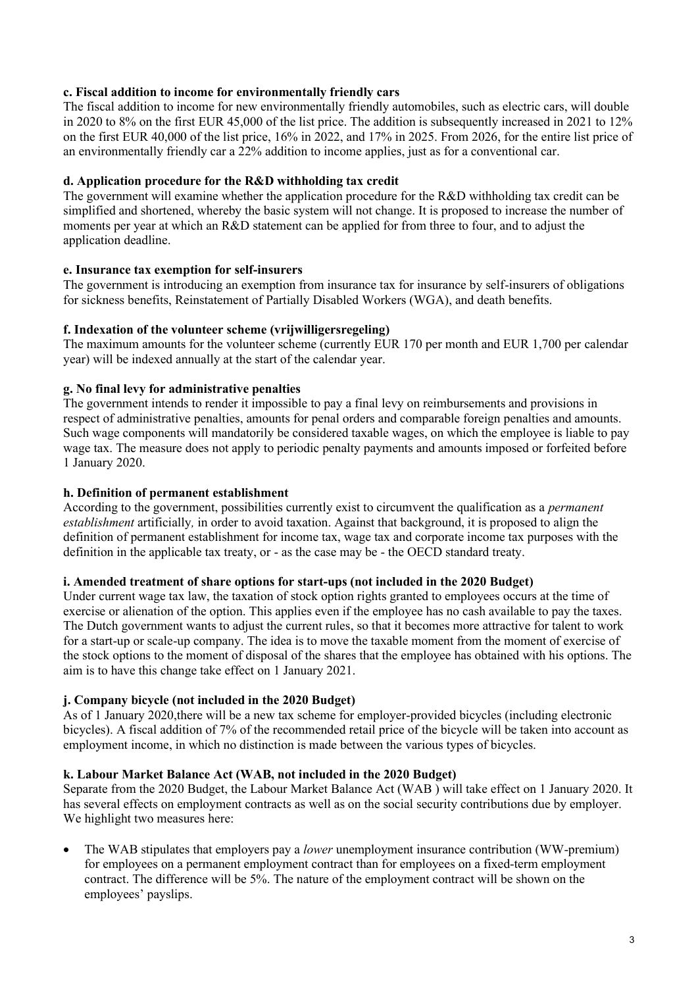# **c. Fiscal addition to income for environmentally friendly cars**

The fiscal addition to income for new environmentally friendly automobiles, such as electric cars, will double in 2020 to 8% on the first EUR 45,000 of the list price. The addition is subsequently increased in 2021 to 12% on the first EUR 40,000 of the list price, 16% in 2022, and 17% in 2025. From 2026, for the entire list price of an environmentally friendly car a 22% addition to income applies, just as for a conventional car.

# **d. Application procedure for the R&D withholding tax credit**

The government will examine whether the application procedure for the R&D withholding tax credit can be simplified and shortened, whereby the basic system will not change. It is proposed to increase the number of moments per year at which an R&D statement can be applied for from three to four, and to adjust the application deadline.

# **e. Insurance tax exemption for self-insurers**

The government is introducing an exemption from insurance tax for insurance by self-insurers of obligations for sickness benefits, Reinstatement of Partially Disabled Workers (WGA), and death benefits.

# **f. Indexation of the volunteer scheme (vrijwilligersregeling)**

The maximum amounts for the volunteer scheme (currently EUR 170 per month and EUR 1,700 per calendar year) will be indexed annually at the start of the calendar year.

# **g. No final levy for administrative penalties**

The government intends to render it impossible to pay a final levy on reimbursements and provisions in respect of administrative penalties, amounts for penal orders and comparable foreign penalties and amounts. Such wage components will mandatorily be considered taxable wages, on which the employee is liable to pay wage tax. The measure does not apply to periodic penalty payments and amounts imposed or forfeited before 1 January 2020.

## **h. Definition of permanent establishment**

According to the government, possibilities currently exist to circumvent the qualification as a *permanent establishment* artificially*,* in order to avoid taxation. Against that background, it is proposed to align the definition of permanent establishment for income tax, wage tax and corporate income tax purposes with the definition in the applicable tax treaty, or - as the case may be - the OECD standard treaty.

## **i. Amended treatment of share options for start-ups (not included in the 2020 Budget)**

Under current wage tax law, the taxation of stock option rights granted to employees occurs at the time of exercise or alienation of the option. This applies even if the employee has no cash available to pay the taxes. The Dutch government wants to adjust the current rules, so that it becomes more attractive for talent to work for a start-up or scale-up company. The idea is to move the taxable moment from the moment of exercise of the stock options to the moment of disposal of the shares that the employee has obtained with his options. The aim is to have this change take effect on 1 January 2021.

# **j. Company bicycle (not included in the 2020 Budget)**

As of 1 January 2020,there will be a new tax scheme for employer-provided bicycles (including electronic bicycles). A fiscal addition of 7% of the recommended retail price of the bicycle will be taken into account as employment income, in which no distinction is made between the various types of bicycles.

## **k. Labour Market Balance Act (WAB, not included in the 2020 Budget)**

Separate from the 2020 Budget, the Labour Market Balance Act (WAB ) will take effect on 1 January 2020. It has several effects on employment contracts as well as on the social security contributions due by employer. We highlight two measures here:

• The WAB stipulates that employers pay a *lower* unemployment insurance contribution (WW-premium) for employees on a permanent employment contract than for employees on a fixed-term employment contract. The difference will be 5%. The nature of the employment contract will be shown on the employees' payslips.